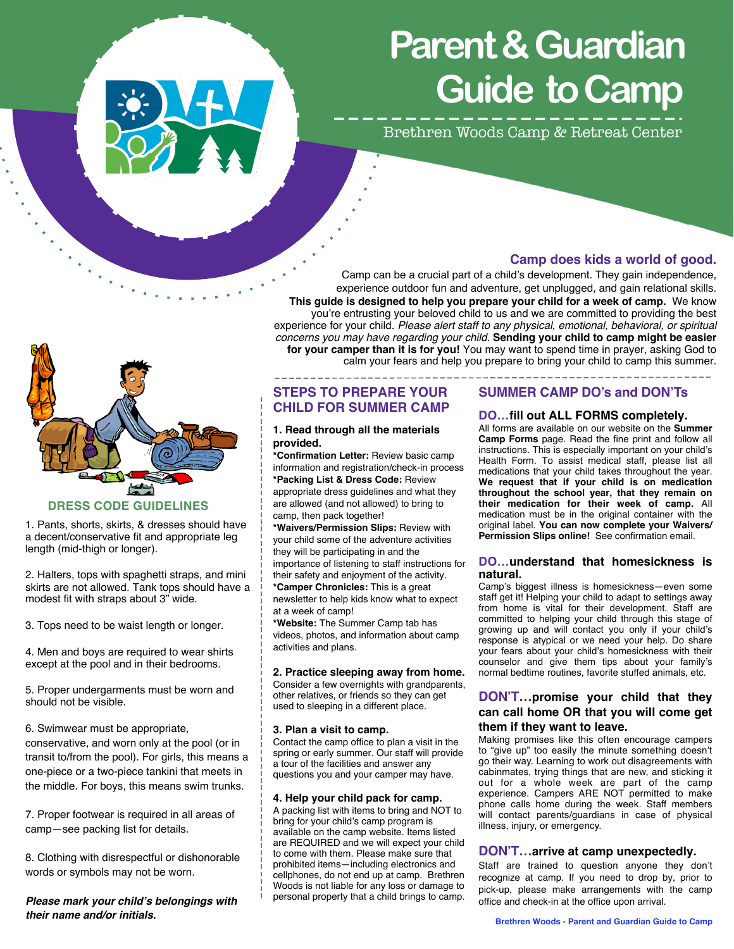

# **Parent & Guardian Guide to Camp**

Brethren Woods Camp & Retreat Center



Camp can be a crucial part of a child's development. They gain independence, experience outdoor fun and adventure, get unplugged, and gain relational skills. **This guide is designed to help you prepare your child for a week of camp.** We know you're entrusting your beloved child to us and we are committed to providing the best experience for your child. *Please alert staff to any physical, emotional, behavioral, or spiritual concerns you may have regarding your child.* **Sending your child to camp might be easier for your camper than it is for you!** You may want to spend time in prayer, asking God to calm your fears and help you prepare to bring your child to camp this summer.

**DRESS CODE GUIDELINES** 

1. Pants, shorts, skirts, & dresses should have a decent/conservative fit and appropriate leg length (mid-thigh or longer).

2. Halters, tops with spaghetti straps, and mini skirts are not allowed. Tank tops should have a modest fit with straps about 3" wide.

3. Tops need to be waist length or longer.

4. Men and boys are required to wear shirts except at the pool and in their bedrooms.

5. Proper undergarments must be worn and should not be visible.

6. Swimwear must be appropriate, conservative, and worn only at the pool (or in transit to/from the pool). For girls, this means a one-piece or a two-piece tankini that meets in the middle. For boys, this means swim trunks.

7. Proper footwear is required in all areas of camp—see packing list for details.

8. Clothing with disrespectful or dishonorable words or symbols may not be worn.

*Please mark your child's belongings with their name and/or initials.* 

# **STEPS TO PREPARE YOUR CHILD FOR SUMMER CAMP**

#### **1. Read through all the materials provided.**

**\*Confirmation Letter:** Review basic camp information and registration/check-in process **\*Packing List & Dress Code:** Review appropriate dress guidelines and what they are allowed (and not allowed) to bring to camp, then pack together!

**\*Waivers/Permission Slips:** Review with your child some of the adventure activities they will be participating in and the importance of listening to staff instructions for their safety and enjoyment of the activity. **\*Camper Chronicles:** This is a great newsletter to help kids know what to expect at a week of camp!

**\*Website:** The Summer Camp tab has videos, photos, and information about camp activities and plans.

# **2. Practice sleeping away from home.**

Consider a few overnights with grandparents, other relatives, or friends so they can get used to sleeping in a different place.

#### **3. Plan a visit to camp.**

Contact the camp office to plan a visit in the spring or early summer. Our staff will provide a tour of the facilities and answer any questions you and your camper may have.

#### **4. Help your child pack for camp.**

A packing list with items to bring and NOT to bring for your child's camp program is available on the camp website. Items listed are REQUIRED and we will expect your child to come with them. Please make sure that prohibited items—including electronics and cellphones, do not end up at camp. Brethren Woods is not liable for any loss or damage to personal property that a child brings to camp.

#### **SUMMER CAMP DO's and DON'Ts**

# **DO…fill out ALL FORMS completely.**

All forms are available on our website on the **Summer Camp Forms** page. Read the fine print and follow all instructions. This is especially important on your child's Health Form. To assist medical staff, please list all medications that your child takes throughout the year. **We request that if your child is on medication throughout the school year, that they remain on their medication for their week of camp.** All medication must be in the original container with the original label. **You can now complete your Waivers/ Permission Slips online!** See confirmation email.

#### **DO…understand that homesickness is natural.**

Camp's biggest illness is homesickness—even some staff get it! Helping your child to adapt to settings away from home is vital for their development. Staff are committed to helping your child through this stage of growing up and will contact you only if your child's response is atypical or we need your help. Do share your fears about your child's homesickness with their counselor and give them tips about your family's normal bedtime routines, favorite stuffed animals, etc.

# **DON'T…promise your child that they can call home OR that you will come get them if they want to leave.**

Making promises like this often encourage campers to "give up" too easily the minute something doesn't go their way. Learning to work out disagreements with cabinmates, trying things that are new, and sticking it out for a whole week are part of the camp experience. Campers ARE NOT permitted to make phone calls home during the week. Staff members will contact parents/guardians in case of physical illness, injury, or emergency.

# **DON'T…arrive at camp unexpectedly.**

Staff are trained to question anyone they don't recognize at camp. If you need to drop by, prior to pick-up, please make arrangements with the camp office and check-in at the office upon arrival.